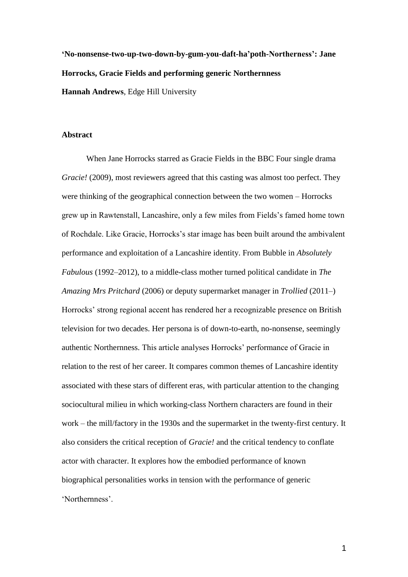**'No-nonsense-two-up-two-down-by-gum-you-daft-ha'poth-Northerness': Jane Horrocks, Gracie Fields and performing generic Northernness Hannah Andrews**, Edge Hill University

### **Abstract**

When Jane Horrocks starred as Gracie Fields in the BBC Four single drama *Gracie!* (2009), most reviewers agreed that this casting was almost too perfect. They were thinking of the geographical connection between the two women – Horrocks grew up in Rawtenstall, Lancashire, only a few miles from Fields's famed home town of Rochdale. Like Gracie, Horrocks's star image has been built around the ambivalent performance and exploitation of a Lancashire identity. From Bubble in *Absolutely Fabulous* (1992–2012), to a middle-class mother turned political candidate in *The Amazing Mrs Pritchard* (2006) or deputy supermarket manager in *Trollied* (2011–) Horrocks' strong regional accent has rendered her a recognizable presence on British television for two decades. Her persona is of down-to-earth, no-nonsense, seemingly authentic Northernness. This article analyses Horrocks' performance of Gracie in relation to the rest of her career. It compares common themes of Lancashire identity associated with these stars of different eras, with particular attention to the changing sociocultural milieu in which working-class Northern characters are found in their work – the mill/factory in the 1930s and the supermarket in the twenty-first century. It also considers the critical reception of *Gracie!* and the critical tendency to conflate actor with character. It explores how the embodied performance of known biographical personalities works in tension with the performance of generic 'Northernness'.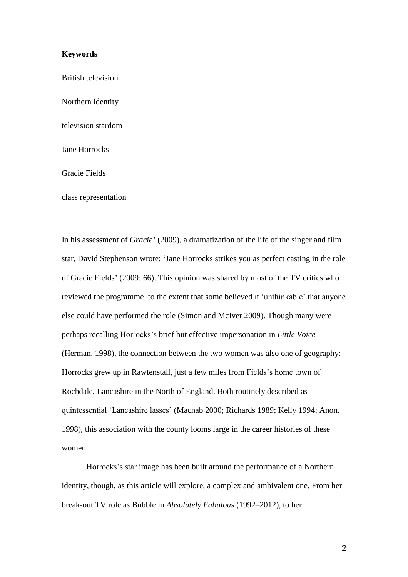## **Keywords**

British television Northern identity television stardom Jane Horrocks Gracie Fields

class representation

In his assessment of *Gracie!* (2009), a dramatization of the life of the singer and film star, David Stephenson wrote: 'Jane Horrocks strikes you as perfect casting in the role of Gracie Fields' (2009: 66). This opinion was shared by most of the TV critics who reviewed the programme, to the extent that some believed it 'unthinkable' that anyone else could have performed the role (Simon and McIver 2009). Though many were perhaps recalling Horrocks's brief but effective impersonation in *Little Voice* (Herman, 1998), the connection between the two women was also one of geography: Horrocks grew up in Rawtenstall, just a few miles from Fields's home town of Rochdale, Lancashire in the North of England. Both routinely described as quintessential 'Lancashire lasses' (Macnab 2000; Richards 1989; Kelly 1994; Anon. 1998), this association with the county looms large in the career histories of these women.

Horrocks's star image has been built around the performance of a Northern identity, though, as this article will explore, a complex and ambivalent one. From her break-out TV role as Bubble in *Absolutely Fabulous* (1992–2012), to her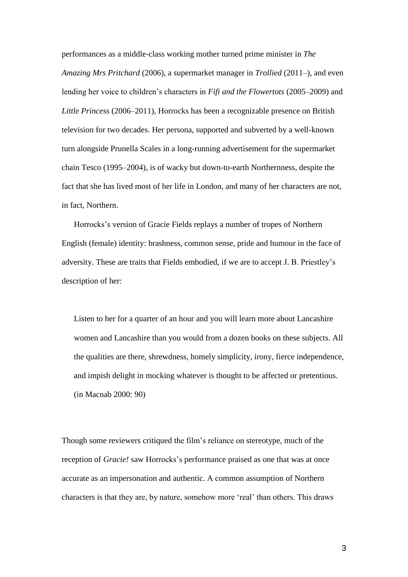performances as a middle-class working mother turned prime minister in *The Amazing Mrs Pritchard* (2006), a supermarket manager in *Trollied* (2011–), and even lending her voice to children's characters in *Fifi and the Flowertots* (2005–2009) and *Little Princess* (2006–2011), Horrocks has been a recognizable presence on British television for two decades. Her persona, supported and subverted by a well-known turn alongside Prunella Scales in a long-running advertisement for the supermarket chain Tesco (1995–2004), is of wacky but down-to-earth Northernness, despite the fact that she has lived most of her life in London, and many of her characters are not, in fact, Northern.

Horrocks's version of Gracie Fields replays a number of tropes of Northern English (female) identity: brashness, common sense, pride and humour in the face of adversity. These are traits that Fields embodied, if we are to accept J. B. Priestley's description of her:

Listen to her for a quarter of an hour and you will learn more about Lancashire women and Lancashire than you would from a dozen books on these subjects. All the qualities are there, shrewdness, homely simplicity, irony, fierce independence, and impish delight in mocking whatever is thought to be affected or pretentious. (in Macnab 2000: 90)

Though some reviewers critiqued the film's reliance on stereotype, much of the reception of *Gracie!* saw Horrocks's performance praised as one that was at once accurate as an impersonation and authentic. A common assumption of Northern characters is that they are, by nature, somehow more 'real' than others. This draws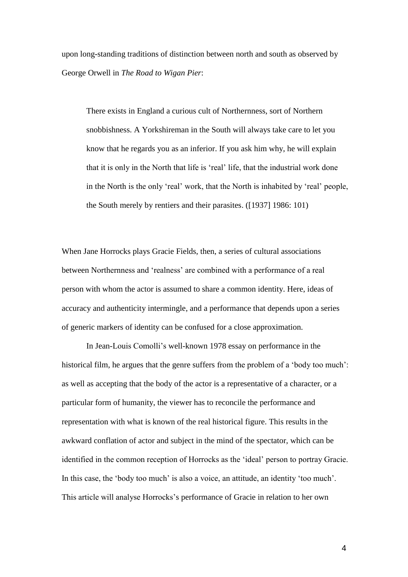upon long-standing traditions of distinction between north and south as observed by George Orwell in *The Road to Wigan Pier*:

There exists in England a curious cult of Northernness, sort of Northern snobbishness. A Yorkshireman in the South will always take care to let you know that he regards you as an inferior. If you ask him why, he will explain that it is only in the North that life is 'real' life, that the industrial work done in the North is the only 'real' work, that the North is inhabited by 'real' people, the South merely by rentiers and their parasites. ([1937] 1986: 101)

When Jane Horrocks plays Gracie Fields, then, a series of cultural associations between Northernness and 'realness' are combined with a performance of a real person with whom the actor is assumed to share a common identity. Here, ideas of accuracy and authenticity intermingle, and a performance that depends upon a series of generic markers of identity can be confused for a close approximation.

In Jean-Louis Comolli's well-known 1978 essay on performance in the historical film, he argues that the genre suffers from the problem of a 'body too much': as well as accepting that the body of the actor is a representative of a character, or a particular form of humanity, the viewer has to reconcile the performance and representation with what is known of the real historical figure. This results in the awkward conflation of actor and subject in the mind of the spectator, which can be identified in the common reception of Horrocks as the 'ideal' person to portray Gracie. In this case, the 'body too much' is also a voice, an attitude, an identity 'too much'. This article will analyse Horrocks's performance of Gracie in relation to her own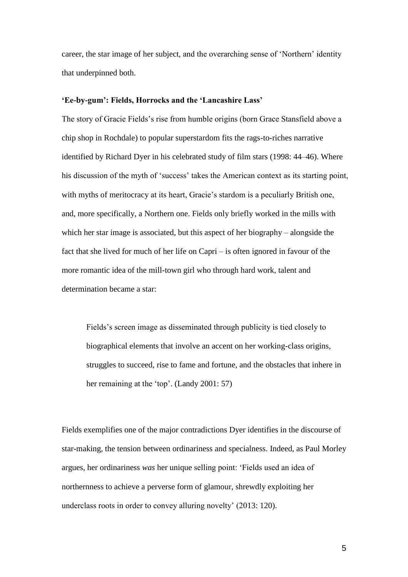career, the star image of her subject, and the overarching sense of 'Northern' identity that underpinned both.

#### **'Ee-by-gum': Fields, Horrocks and the 'Lancashire Lass'**

The story of Gracie Fields's rise from humble origins (born Grace Stansfield above a chip shop in Rochdale) to popular superstardom fits the rags-to-riches narrative identified by Richard Dyer in his celebrated study of film stars (1998: 44–46). Where his discussion of the myth of 'success' takes the American context as its starting point, with myths of meritocracy at its heart, Gracie's stardom is a peculiarly British one, and, more specifically, a Northern one. Fields only briefly worked in the mills with which her star image is associated, but this aspect of her biography – alongside the fact that she lived for much of her life on Capri – is often ignored in favour of the more romantic idea of the mill-town girl who through hard work, talent and determination became a star:

Fields's screen image as disseminated through publicity is tied closely to biographical elements that involve an accent on her working-class origins, struggles to succeed, rise to fame and fortune, and the obstacles that inhere in her remaining at the 'top'. (Landy 2001: 57)

Fields exemplifies one of the major contradictions Dyer identifies in the discourse of star-making, the tension between ordinariness and specialness. Indeed, as Paul Morley argues, her ordinariness *was* her unique selling point: 'Fields used an idea of northernness to achieve a perverse form of glamour, shrewdly exploiting her underclass roots in order to convey alluring novelty' (2013: 120).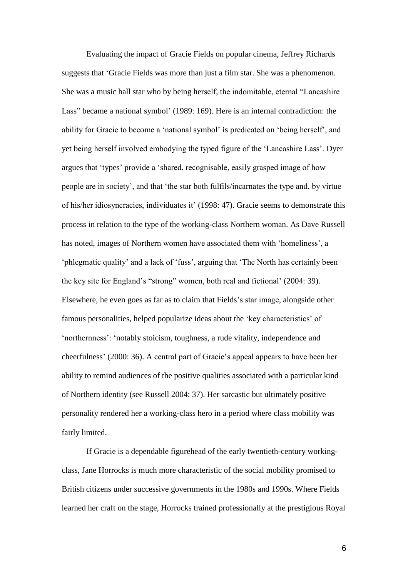Evaluating the impact of Gracie Fields on popular cinema, Jeffrey Richards suggests that 'Gracie Fields was more than just a film star. She was a phenomenon. She was a music hall star who by being herself, the indomitable, eternal "Lancashire Lass" became a national symbol' (1989: 169). Here is an internal contradiction: the ability for Gracie to become a 'national symbol' is predicated on 'being herself', and yet being herself involved embodying the typed figure of the 'Lancashire Lass'. Dyer argues that 'types' provide a 'shared, recognisable, easily grasped image of how people are in society', and that 'the star both fulfils/incarnates the type and, by virtue of his/her idiosyncracies, individuates it' (1998: 47). Gracie seems to demonstrate this process in relation to the type of the working-class Northern woman. As Dave Russell has noted, images of Northern women have associated them with 'homeliness', a 'phlegmatic quality' and a lack of 'fuss', arguing that 'The North has certainly been the key site for England's "strong" women, both real and fictional' (2004: 39). Elsewhere, he even goes as far as to claim that Fields's star image, alongside other famous personalities, helped popularize ideas about the 'key characteristics' of 'northernness': 'notably stoicism, toughness, a rude vitality, independence and cheerfulness' (2000: 36). A central part of Gracie's appeal appears to have been her ability to remind audiences of the positive qualities associated with a particular kind of Northern identity (see Russell 2004: 37). Her sarcastic but ultimately positive personality rendered her a working-class hero in a period where class mobility was fairly limited.

If Gracie is a dependable figurehead of the early twentieth-century workingclass, Jane Horrocks is much more characteristic of the social mobility promised to British citizens under successive governments in the 1980s and 1990s. Where Fields learned her craft on the stage, Horrocks trained professionally at the prestigious Royal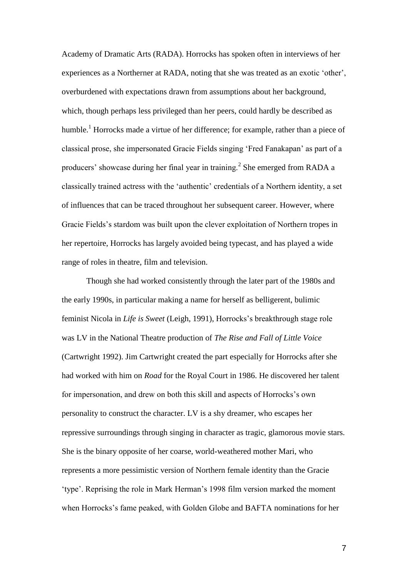Academy of Dramatic Arts (RADA). Horrocks has spoken often in interviews of her experiences as a Northerner at RADA, noting that she was treated as an exotic 'other', overburdened with expectations drawn from assumptions about her background, which, though perhaps less privileged than her peers, could hardly be described as humble.<sup>1</sup> Horrocks made a virtue of her difference; for example, rather than a piece of classical prose, she impersonated Gracie Fields singing 'Fred Fanakapan' as part of a producers' showcase during her final year in training.<sup>2</sup> She emerged from RADA a classically trained actress with the 'authentic' credentials of a Northern identity, a set of influences that can be traced throughout her subsequent career. However, where Gracie Fields's stardom was built upon the clever exploitation of Northern tropes in her repertoire, Horrocks has largely avoided being typecast, and has played a wide range of roles in theatre, film and television.

Though she had worked consistently through the later part of the 1980s and the early 1990s, in particular making a name for herself as belligerent, bulimic feminist Nicola in *Life is Sweet* (Leigh, 1991), Horrocks's breakthrough stage role was LV in the National Theatre production of *The Rise and Fall of Little Voice* (Cartwright 1992). Jim Cartwright created the part especially for Horrocks after she had worked with him on *Road* for the Royal Court in 1986. He discovered her talent for impersonation, and drew on both this skill and aspects of Horrocks's own personality to construct the character. LV is a shy dreamer, who escapes her repressive surroundings through singing in character as tragic, glamorous movie stars. She is the binary opposite of her coarse, world-weathered mother Mari, who represents a more pessimistic version of Northern female identity than the Gracie 'type'. Reprising the role in Mark Herman's 1998 film version marked the moment when Horrocks's fame peaked, with Golden Globe and BAFTA nominations for her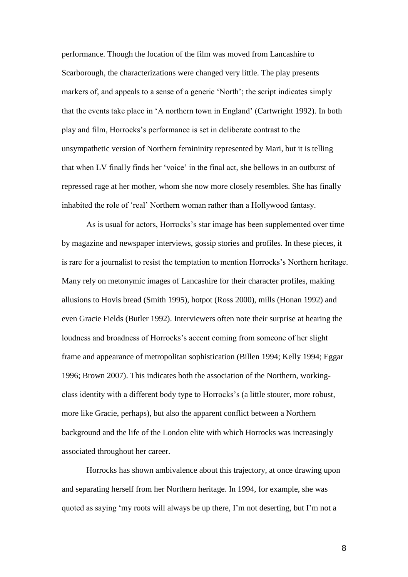performance. Though the location of the film was moved from Lancashire to Scarborough, the characterizations were changed very little. The play presents markers of, and appeals to a sense of a generic 'North'; the script indicates simply that the events take place in 'A northern town in England' (Cartwright 1992). In both play and film, Horrocks's performance is set in deliberate contrast to the unsympathetic version of Northern femininity represented by Mari, but it is telling that when LV finally finds her 'voice' in the final act, she bellows in an outburst of repressed rage at her mother, whom she now more closely resembles. She has finally inhabited the role of 'real' Northern woman rather than a Hollywood fantasy.

As is usual for actors, Horrocks's star image has been supplemented over time by magazine and newspaper interviews, gossip stories and profiles. In these pieces, it is rare for a journalist to resist the temptation to mention Horrocks's Northern heritage. Many rely on metonymic images of Lancashire for their character profiles, making allusions to Hovis bread (Smith 1995), hotpot (Ross 2000), mills (Honan 1992) and even Gracie Fields (Butler 1992). Interviewers often note their surprise at hearing the loudness and broadness of Horrocks's accent coming from someone of her slight frame and appearance of metropolitan sophistication (Billen 1994; Kelly 1994; Eggar 1996; Brown 2007). This indicates both the association of the Northern, workingclass identity with a different body type to Horrocks's (a little stouter, more robust, more like Gracie, perhaps), but also the apparent conflict between a Northern background and the life of the London elite with which Horrocks was increasingly associated throughout her career.

Horrocks has shown ambivalence about this trajectory, at once drawing upon and separating herself from her Northern heritage. In 1994, for example, she was quoted as saying 'my roots will always be up there, I'm not deserting, but I'm not a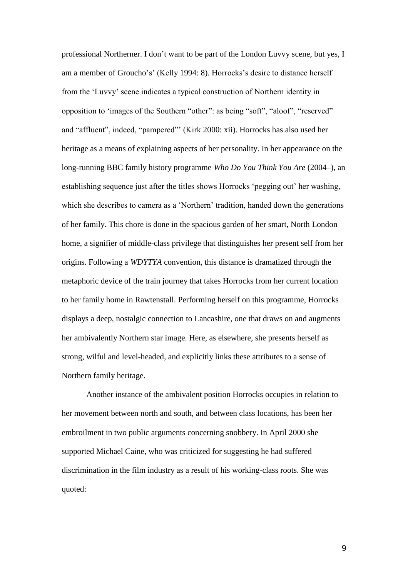professional Northerner. I don't want to be part of the London Luvvy scene, but yes, I am a member of Groucho's' (Kelly 1994: 8). Horrocks's desire to distance herself from the 'Luvvy' scene indicates a typical construction of Northern identity in opposition to 'images of the Southern "other": as being "soft", "aloof", "reserved" and "affluent", indeed, "pampered"' (Kirk 2000: xii). Horrocks has also used her heritage as a means of explaining aspects of her personality. In her appearance on the long-running BBC family history programme *Who Do You Think You Are* (2004–), an establishing sequence just after the titles shows Horrocks 'pegging out' her washing, which she describes to camera as a 'Northern' tradition, handed down the generations of her family. This chore is done in the spacious garden of her smart, North London home, a signifier of middle-class privilege that distinguishes her present self from her origins. Following a *WDYTYA* convention, this distance is dramatized through the metaphoric device of the train journey that takes Horrocks from her current location to her family home in Rawtenstall. Performing herself on this programme, Horrocks displays a deep, nostalgic connection to Lancashire, one that draws on and augments her ambivalently Northern star image. Here, as elsewhere, she presents herself as strong, wilful and level-headed, and explicitly links these attributes to a sense of Northern family heritage.

Another instance of the ambivalent position Horrocks occupies in relation to her movement between north and south, and between class locations, has been her embroilment in two public arguments concerning snobbery. In April 2000 she supported Michael Caine, who was criticized for suggesting he had suffered discrimination in the film industry as a result of his working-class roots. She was quoted: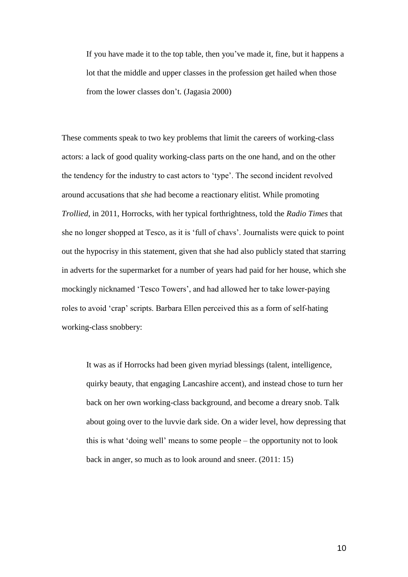If you have made it to the top table, then you've made it, fine, but it happens a lot that the middle and upper classes in the profession get hailed when those from the lower classes don't. (Jagasia 2000)

These comments speak to two key problems that limit the careers of working-class actors: a lack of good quality working-class parts on the one hand, and on the other the tendency for the industry to cast actors to 'type'. The second incident revolved around accusations that *she* had become a reactionary elitist. While promoting *Trollied*, in 2011, Horrocks, with her typical forthrightness, told the *Radio Times* that she no longer shopped at Tesco, as it is 'full of chavs'. Journalists were quick to point out the hypocrisy in this statement, given that she had also publicly stated that starring in adverts for the supermarket for a number of years had paid for her house, which she mockingly nicknamed 'Tesco Towers', and had allowed her to take lower-paying roles to avoid 'crap' scripts. Barbara Ellen perceived this as a form of self-hating working-class snobbery:

It was as if Horrocks had been given myriad blessings (talent, intelligence, quirky beauty, that engaging Lancashire accent), and instead chose to turn her back on her own working-class background, and become a dreary snob. Talk about going over to the luvvie dark side. On a wider level, how depressing that this is what 'doing well' means to some people – the opportunity not to look back in anger, so much as to look around and sneer. (2011: 15)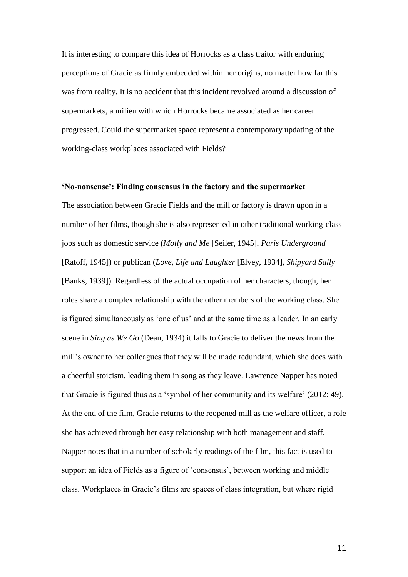It is interesting to compare this idea of Horrocks as a class traitor with enduring perceptions of Gracie as firmly embedded within her origins, no matter how far this was from reality. It is no accident that this incident revolved around a discussion of supermarkets, a milieu with which Horrocks became associated as her career progressed. Could the supermarket space represent a contemporary updating of the working-class workplaces associated with Fields?

#### **'No-nonsense': Finding consensus in the factory and the supermarket**

The association between Gracie Fields and the mill or factory is drawn upon in a number of her films, though she is also represented in other traditional working-class jobs such as domestic service (*Molly and Me* [Seiler, 1945], *Paris Underground* [Ratoff, 1945]) or publican (*Love, Life and Laughter* [Elvey, 1934], *Shipyard Sally* [Banks, 1939]). Regardless of the actual occupation of her characters, though, her roles share a complex relationship with the other members of the working class. She is figured simultaneously as 'one of us' and at the same time as a leader. In an early scene in *Sing as We Go* (Dean, 1934) it falls to Gracie to deliver the news from the mill's owner to her colleagues that they will be made redundant, which she does with a cheerful stoicism, leading them in song as they leave. Lawrence Napper has noted that Gracie is figured thus as a 'symbol of her community and its welfare' (2012: 49). At the end of the film, Gracie returns to the reopened mill as the welfare officer, a role she has achieved through her easy relationship with both management and staff. Napper notes that in a number of scholarly readings of the film, this fact is used to support an idea of Fields as a figure of 'consensus', between working and middle class. Workplaces in Gracie's films are spaces of class integration, but where rigid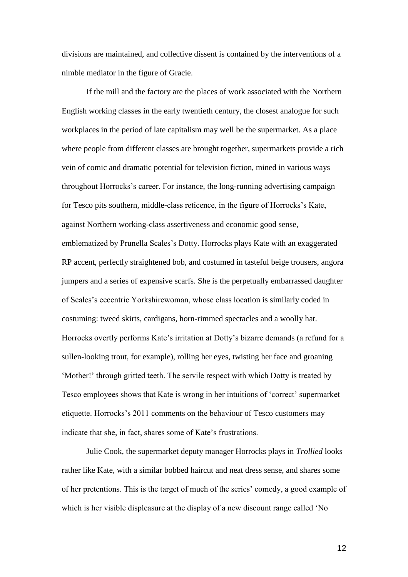divisions are maintained, and collective dissent is contained by the interventions of a nimble mediator in the figure of Gracie.

If the mill and the factory are the places of work associated with the Northern English working classes in the early twentieth century, the closest analogue for such workplaces in the period of late capitalism may well be the supermarket. As a place where people from different classes are brought together, supermarkets provide a rich vein of comic and dramatic potential for television fiction, mined in various ways throughout Horrocks's career. For instance, the long-running advertising campaign for Tesco pits southern, middle-class reticence, in the figure of Horrocks's Kate, against Northern working-class assertiveness and economic good sense, emblematized by Prunella Scales's Dotty. Horrocks plays Kate with an exaggerated RP accent, perfectly straightened bob, and costumed in tasteful beige trousers, angora jumpers and a series of expensive scarfs. She is the perpetually embarrassed daughter of Scales's eccentric Yorkshirewoman, whose class location is similarly coded in costuming: tweed skirts, cardigans, horn-rimmed spectacles and a woolly hat. Horrocks overtly performs Kate's irritation at Dotty's bizarre demands (a refund for a sullen-looking trout, for example), rolling her eyes, twisting her face and groaning 'Mother!' through gritted teeth. The servile respect with which Dotty is treated by Tesco employees shows that Kate is wrong in her intuitions of 'correct' supermarket etiquette. Horrocks's 2011 comments on the behaviour of Tesco customers may indicate that she, in fact, shares some of Kate's frustrations.

Julie Cook, the supermarket deputy manager Horrocks plays in *Trollied* looks rather like Kate, with a similar bobbed haircut and neat dress sense, and shares some of her pretentions. This is the target of much of the series' comedy, a good example of which is her visible displeasure at the display of a new discount range called 'No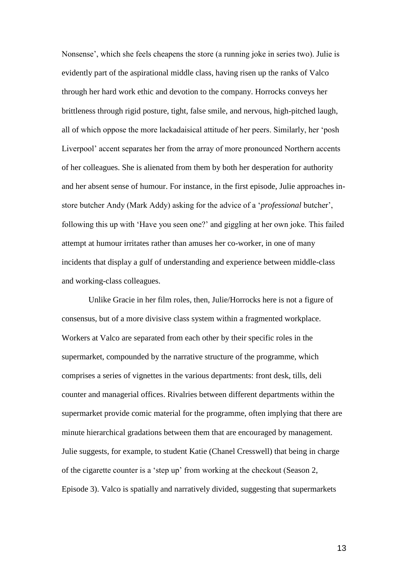Nonsense', which she feels cheapens the store (a running joke in series two). Julie is evidently part of the aspirational middle class, having risen up the ranks of Valco through her hard work ethic and devotion to the company. Horrocks conveys her brittleness through rigid posture, tight, false smile, and nervous, high-pitched laugh, all of which oppose the more lackadaisical attitude of her peers. Similarly, her 'posh Liverpool' accent separates her from the array of more pronounced Northern accents of her colleagues. She is alienated from them by both her desperation for authority and her absent sense of humour. For instance, in the first episode, Julie approaches instore butcher Andy (Mark Addy) asking for the advice of a '*professional* butcher', following this up with 'Have you seen one?' and giggling at her own joke. This failed attempt at humour irritates rather than amuses her co-worker, in one of many incidents that display a gulf of understanding and experience between middle-class and working-class colleagues.

Unlike Gracie in her film roles, then, Julie/Horrocks here is not a figure of consensus, but of a more divisive class system within a fragmented workplace. Workers at Valco are separated from each other by their specific roles in the supermarket, compounded by the narrative structure of the programme, which comprises a series of vignettes in the various departments: front desk, tills, deli counter and managerial offices. Rivalries between different departments within the supermarket provide comic material for the programme, often implying that there are minute hierarchical gradations between them that are encouraged by management. Julie suggests, for example, to student Katie (Chanel Cresswell) that being in charge of the cigarette counter is a 'step up' from working at the checkout (Season 2, Episode 3). Valco is spatially and narratively divided, suggesting that supermarkets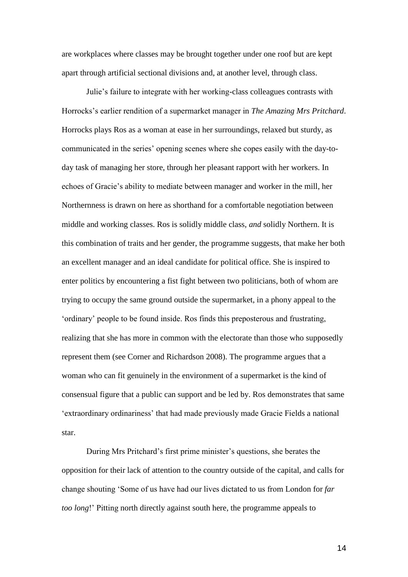are workplaces where classes may be brought together under one roof but are kept apart through artificial sectional divisions and, at another level, through class.

Julie's failure to integrate with her working-class colleagues contrasts with Horrocks's earlier rendition of a supermarket manager in *The Amazing Mrs Pritchard*. Horrocks plays Ros as a woman at ease in her surroundings, relaxed but sturdy, as communicated in the series' opening scenes where she copes easily with the day-today task of managing her store, through her pleasant rapport with her workers. In echoes of Gracie's ability to mediate between manager and worker in the mill, her Northernness is drawn on here as shorthand for a comfortable negotiation between middle and working classes. Ros is solidly middle class, *and* solidly Northern. It is this combination of traits and her gender, the programme suggests, that make her both an excellent manager and an ideal candidate for political office. She is inspired to enter politics by encountering a fist fight between two politicians, both of whom are trying to occupy the same ground outside the supermarket, in a phony appeal to the 'ordinary' people to be found inside. Ros finds this preposterous and frustrating, realizing that she has more in common with the electorate than those who supposedly represent them (see Corner and Richardson 2008). The programme argues that a woman who can fit genuinely in the environment of a supermarket is the kind of consensual figure that a public can support and be led by. Ros demonstrates that same 'extraordinary ordinariness' that had made previously made Gracie Fields a national star.

During Mrs Pritchard's first prime minister's questions, she berates the opposition for their lack of attention to the country outside of the capital, and calls for change shouting 'Some of us have had our lives dictated to us from London for *far too long*!' Pitting north directly against south here, the programme appeals to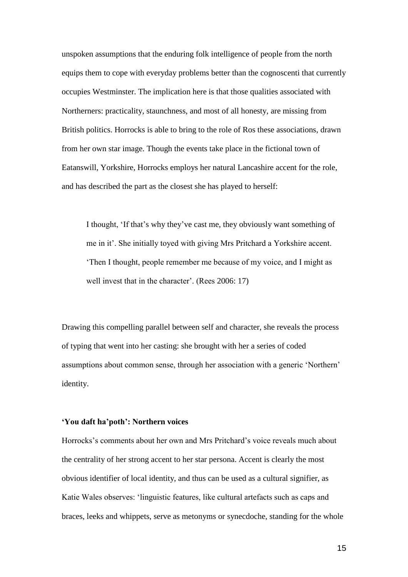unspoken assumptions that the enduring folk intelligence of people from the north equips them to cope with everyday problems better than the cognoscenti that currently occupies Westminster. The implication here is that those qualities associated with Northerners: practicality, staunchness, and most of all honesty, are missing from British politics. Horrocks is able to bring to the role of Ros these associations, drawn from her own star image. Though the events take place in the fictional town of Eatanswill, Yorkshire, Horrocks employs her natural Lancashire accent for the role, and has described the part as the closest she has played to herself:

I thought, 'If that's why they've cast me, they obviously want something of me in it'. She initially toyed with giving Mrs Pritchard a Yorkshire accent. 'Then I thought, people remember me because of my voice, and I might as well invest that in the character'. (Rees 2006: 17)

Drawing this compelling parallel between self and character, she reveals the process of typing that went into her casting: she brought with her a series of coded assumptions about common sense, through her association with a generic 'Northern' identity.

## **'You daft ha'poth': Northern voices**

Horrocks's comments about her own and Mrs Pritchard's voice reveals much about the centrality of her strong accent to her star persona. Accent is clearly the most obvious identifier of local identity, and thus can be used as a cultural signifier, as Katie Wales observes: 'linguistic features, like cultural artefacts such as caps and braces, leeks and whippets, serve as metonyms or synecdoche, standing for the whole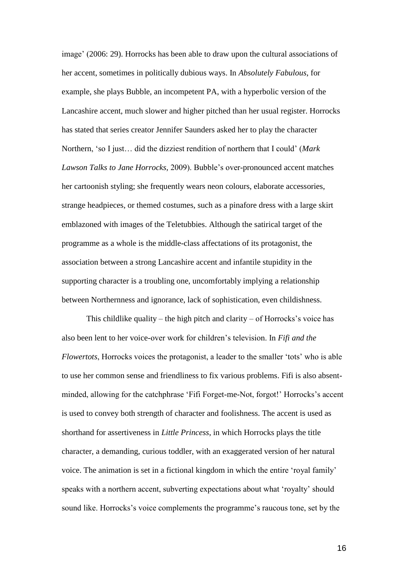image' (2006: 29). Horrocks has been able to draw upon the cultural associations of her accent, sometimes in politically dubious ways. In *Absolutely Fabulous*, for example, she plays Bubble, an incompetent PA, with a hyperbolic version of the Lancashire accent, much slower and higher pitched than her usual register. Horrocks has stated that series creator Jennifer Saunders asked her to play the character Northern, 'so I just… did the dizziest rendition of northern that I could' (*Mark Lawson Talks to Jane Horrocks,* 2009). Bubble's over-pronounced accent matches her cartoonish styling; she frequently wears neon colours, elaborate accessories, strange headpieces, or themed costumes, such as a pinafore dress with a large skirt emblazoned with images of the Teletubbies. Although the satirical target of the programme as a whole is the middle-class affectations of its protagonist, the association between a strong Lancashire accent and infantile stupidity in the supporting character is a troubling one, uncomfortably implying a relationship between Northernness and ignorance, lack of sophistication, even childishness.

This childlike quality – the high pitch and clarity – of Horrocks's voice has also been lent to her voice-over work for children's television. In *Fifi and the Flowertots*, Horrocks voices the protagonist, a leader to the smaller 'tots' who is able to use her common sense and friendliness to fix various problems. Fifi is also absentminded, allowing for the catchphrase 'Fifi Forget-me-Not, forgot!' Horrocks's accent is used to convey both strength of character and foolishness. The accent is used as shorthand for assertiveness in *Little Princess*, in which Horrocks plays the title character, a demanding, curious toddler, with an exaggerated version of her natural voice. The animation is set in a fictional kingdom in which the entire 'royal family' speaks with a northern accent, subverting expectations about what 'royalty' should sound like. Horrocks's voice complements the programme's raucous tone, set by the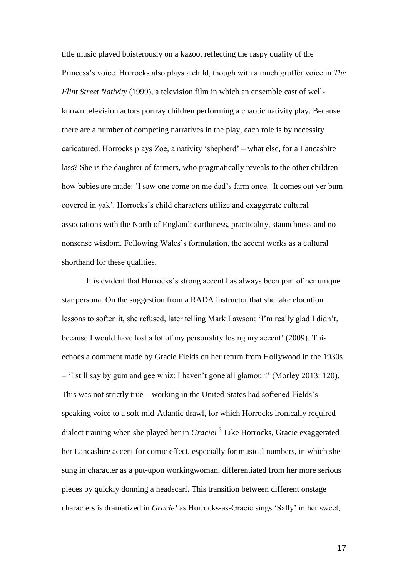title music played boisterously on a kazoo, reflecting the raspy quality of the Princess's voice. Horrocks also plays a child, though with a much gruffer voice in *The Flint Street Nativity* (1999), a television film in which an ensemble cast of wellknown television actors portray children performing a chaotic nativity play. Because there are a number of competing narratives in the play, each role is by necessity caricatured. Horrocks plays Zoe, a nativity 'shepherd' – what else, for a Lancashire lass? She is the daughter of farmers, who pragmatically reveals to the other children how babies are made: 'I saw one come on me dad's farm once. It comes out yer bum covered in yak'. Horrocks's child characters utilize and exaggerate cultural associations with the North of England: earthiness, practicality, staunchness and nononsense wisdom. Following Wales's formulation, the accent works as a cultural shorthand for these qualities.

It is evident that Horrocks's strong accent has always been part of her unique star persona. On the suggestion from a RADA instructor that she take elocution lessons to soften it, she refused, later telling Mark Lawson: 'I'm really glad I didn't, because I would have lost a lot of my personality losing my accent' (2009). This echoes a comment made by Gracie Fields on her return from Hollywood in the 1930s – 'I still say by gum and gee whiz: I haven't gone all glamour!' (Morley 2013: 120). This was not strictly true – working in the United States had softened Fields's speaking voice to a soft mid-Atlantic drawl, for which Horrocks ironically required dialect training when she played her in *Gracie!* <sup>3</sup> Like Horrocks, Gracie exaggerated her Lancashire accent for comic effect, especially for musical numbers, in which she sung in character as a put-upon workingwoman, differentiated from her more serious pieces by quickly donning a headscarf. This transition between different onstage characters is dramatized in *Gracie!* as Horrocks-as-Gracie sings 'Sally' in her sweet,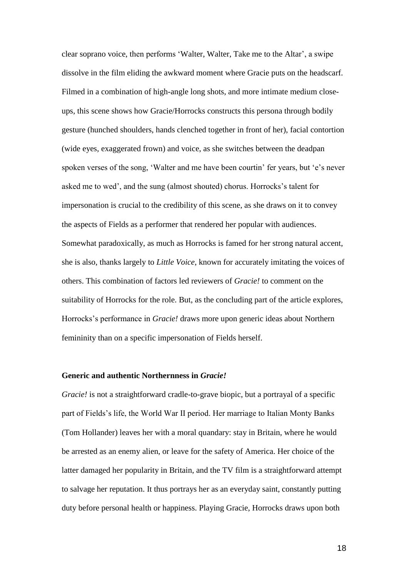clear soprano voice, then performs 'Walter, Walter, Take me to the Altar', a swipe dissolve in the film eliding the awkward moment where Gracie puts on the headscarf. Filmed in a combination of high-angle long shots, and more intimate medium closeups, this scene shows how Gracie/Horrocks constructs this persona through bodily gesture (hunched shoulders, hands clenched together in front of her), facial contortion (wide eyes, exaggerated frown) and voice, as she switches between the deadpan spoken verses of the song, 'Walter and me have been courtin' fer years, but 'e's never asked me to wed', and the sung (almost shouted) chorus. Horrocks's talent for impersonation is crucial to the credibility of this scene, as she draws on it to convey the aspects of Fields as a performer that rendered her popular with audiences. Somewhat paradoxically, as much as Horrocks is famed for her strong natural accent, she is also, thanks largely to *Little Voice*, known for accurately imitating the voices of others. This combination of factors led reviewers of *Gracie!* to comment on the suitability of Horrocks for the role. But, as the concluding part of the article explores, Horrocks's performance in *Gracie!* draws more upon generic ideas about Northern femininity than on a specific impersonation of Fields herself.

## **Generic and authentic Northernness in** *Gracie!*

*Gracie!* is not a straightforward cradle-to-grave biopic, but a portrayal of a specific part of Fields's life, the World War II period. Her marriage to Italian Monty Banks (Tom Hollander) leaves her with a moral quandary: stay in Britain, where he would be arrested as an enemy alien, or leave for the safety of America. Her choice of the latter damaged her popularity in Britain, and the TV film is a straightforward attempt to salvage her reputation. It thus portrays her as an everyday saint, constantly putting duty before personal health or happiness. Playing Gracie, Horrocks draws upon both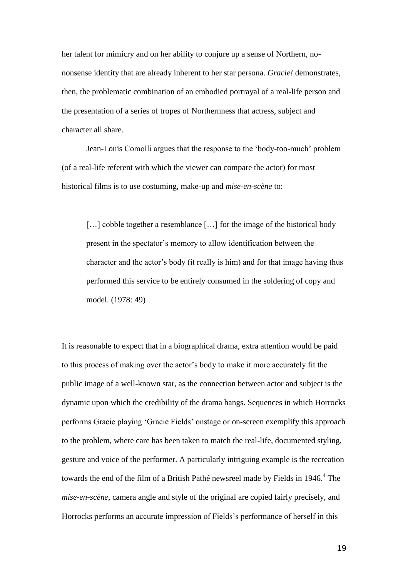her talent for mimicry and on her ability to conjure up a sense of Northern, nononsense identity that are already inherent to her star persona. *Gracie!* demonstrates, then, the problematic combination of an embodied portrayal of a real-life person and the presentation of a series of tropes of Northernness that actress, subject and character all share.

Jean-Louis Comolli argues that the response to the 'body-too-much' problem (of a real-life referent with which the viewer can compare the actor) for most historical films is to use costuming, make-up and *mise-en-scène* to:

[...] cobble together a resemblance [...] for the image of the historical body present in the spectator's memory to allow identification between the character and the actor's body (it really is him) and for that image having thus performed this service to be entirely consumed in the soldering of copy and model. (1978: 49)

It is reasonable to expect that in a biographical drama, extra attention would be paid to this process of making over the actor's body to make it more accurately fit the public image of a well-known star, as the connection between actor and subject is the dynamic upon which the credibility of the drama hangs. Sequences in which Horrocks performs Gracie playing 'Gracie Fields' onstage or on-screen exemplify this approach to the problem, where care has been taken to match the real-life, documented styling, gesture and voice of the performer. A particularly intriguing example is the recreation towards the end of the film of a British Pathé newsreel made by Fields in 1946.<sup>4</sup> The *mise-en-scène*, camera angle and style of the original are copied fairly precisely, and Horrocks performs an accurate impression of Fields's performance of herself in this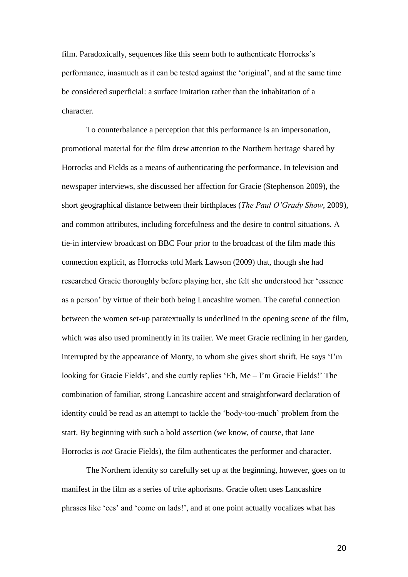film. Paradoxically, sequences like this seem both to authenticate Horrocks's performance, inasmuch as it can be tested against the 'original', and at the same time be considered superficial: a surface imitation rather than the inhabitation of a character.

To counterbalance a perception that this performance is an impersonation, promotional material for the film drew attention to the Northern heritage shared by Horrocks and Fields as a means of authenticating the performance. In television and newspaper interviews, she discussed her affection for Gracie (Stephenson 2009), the short geographical distance between their birthplaces (*The Paul O'Grady Show*, 2009), and common attributes, including forcefulness and the desire to control situations. A tie-in interview broadcast on BBC Four prior to the broadcast of the film made this connection explicit, as Horrocks told Mark Lawson (2009) that, though she had researched Gracie thoroughly before playing her, she felt she understood her 'essence as a person' by virtue of their both being Lancashire women. The careful connection between the women set-up paratextually is underlined in the opening scene of the film, which was also used prominently in its trailer. We meet Gracie reclining in her garden, interrupted by the appearance of Monty, to whom she gives short shrift. He says 'I'm looking for Gracie Fields', and she curtly replies 'Eh, Me – I'm Gracie Fields!' The combination of familiar, strong Lancashire accent and straightforward declaration of identity could be read as an attempt to tackle the 'body-too-much' problem from the start. By beginning with such a bold assertion (we know, of course, that Jane Horrocks is *not* Gracie Fields), the film authenticates the performer and character.

The Northern identity so carefully set up at the beginning, however, goes on to manifest in the film as a series of trite aphorisms. Gracie often uses Lancashire phrases like 'ees' and 'come on lads!', and at one point actually vocalizes what has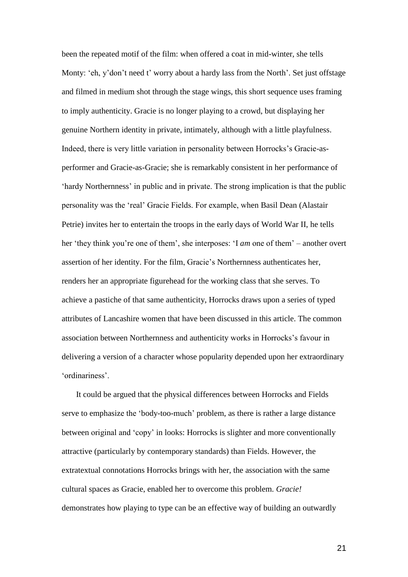been the repeated motif of the film: when offered a coat in mid-winter, she tells Monty: 'eh, y'don't need t' worry about a hardy lass from the North'. Set just offstage and filmed in medium shot through the stage wings, this short sequence uses framing to imply authenticity. Gracie is no longer playing to a crowd, but displaying her genuine Northern identity in private, intimately, although with a little playfulness. Indeed, there is very little variation in personality between Horrocks's Gracie-asperformer and Gracie-as-Gracie; she is remarkably consistent in her performance of 'hardy Northernness' in public and in private. The strong implication is that the public personality was the 'real' Gracie Fields. For example, when Basil Dean (Alastair Petrie) invites her to entertain the troops in the early days of World War II, he tells her 'they think you're one of them', she interposes: 'I *am* one of them' – another overt assertion of her identity. For the film, Gracie's Northernness authenticates her, renders her an appropriate figurehead for the working class that she serves. To achieve a pastiche of that same authenticity, Horrocks draws upon a series of typed attributes of Lancashire women that have been discussed in this article. The common association between Northernness and authenticity works in Horrocks's favour in delivering a version of a character whose popularity depended upon her extraordinary 'ordinariness'.

It could be argued that the physical differences between Horrocks and Fields serve to emphasize the 'body-too-much' problem, as there is rather a large distance between original and 'copy' in looks: Horrocks is slighter and more conventionally attractive (particularly by contemporary standards) than Fields. However, the extratextual connotations Horrocks brings with her, the association with the same cultural spaces as Gracie, enabled her to overcome this problem. *Gracie!* demonstrates how playing to type can be an effective way of building an outwardly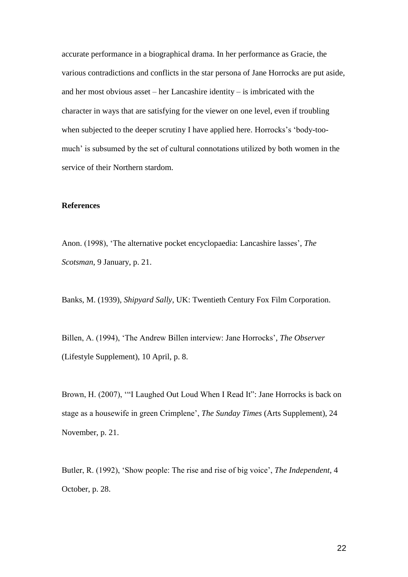accurate performance in a biographical drama. In her performance as Gracie, the various contradictions and conflicts in the star persona of Jane Horrocks are put aside, and her most obvious asset – her Lancashire identity – is imbricated with the character in ways that are satisfying for the viewer on one level, even if troubling when subjected to the deeper scrutiny I have applied here. Horrocks's 'body-toomuch' is subsumed by the set of cultural connotations utilized by both women in the service of their Northern stardom.

## **References**

Anon. (1998), 'The alternative pocket encyclopaedia: Lancashire lasses', *The Scotsman*, 9 January, p. 21.

Banks, M. (1939), *Shipyard Sally*, UK: Twentieth Century Fox Film Corporation.

Billen, A. (1994), 'The Andrew Billen interview: Jane Horrocks', *The Observer* (Lifestyle Supplement), 10 April, p. 8.

Brown, H. (2007), '"I Laughed Out Loud When I Read It": Jane Horrocks is back on stage as a housewife in green Crimplene', *The Sunday Times* (Arts Supplement), 24 November, p. 21.

Butler, R. (1992), 'Show people: The rise and rise of big voice', *The Independent*, 4 October, p. 28.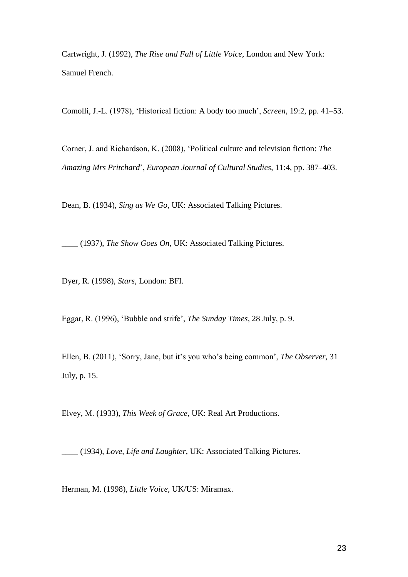Cartwright, J. (1992), *The Rise and Fall of Little Voice*, London and New York: Samuel French.

Comolli, J.-L. (1978), 'Historical fiction: A body too much', *Screen*, 19:2, pp. 41–53.

Corner, J. and Richardson, K. (2008), 'Political culture and television fiction: *The Amazing Mrs Pritchard*', *European Journal of Cultural Studies*, 11:4, pp. 387–403.

Dean, B. (1934), *Sing as We Go*, UK: Associated Talking Pictures.

\_\_\_\_ (1937), *The Show Goes On*, UK: Associated Talking Pictures.

Dyer, R. (1998), *Stars*, London: BFI.

Eggar, R. (1996), 'Bubble and strife', *The Sunday Times*, 28 July, p. 9.

Ellen, B. (2011), 'Sorry, Jane, but it's you who's being common', *The Observer*, 31 July, p. 15.

Elvey, M. (1933), *This Week of Grace*, UK: Real Art Productions.

\_\_\_\_ (1934), *Love, Life and Laughter*, UK: Associated Talking Pictures.

Herman, M. (1998), *Little Voice*, UK/US: Miramax.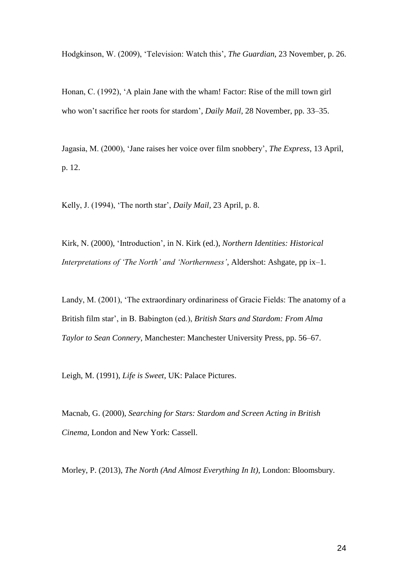Hodgkinson, W. (2009), 'Television: Watch this', *The Guardian*, 23 November, p. 26.

Honan, C. (1992), 'A plain Jane with the wham! Factor: Rise of the mill town girl who won't sacrifice her roots for stardom', *Daily Mail*, 28 November, pp. 33–35.

Jagasia, M. (2000), 'Jane raises her voice over film snobbery', *The Express*, 13 April, p. 12.

Kelly, J. (1994), 'The north star', *Daily Mail*, 23 April, p. 8.

Kirk, N. (2000), 'Introduction', in N. Kirk (ed.), *Northern Identities: Historical Interpretations of 'The North' and 'Northernness'*, Aldershot: Ashgate, pp ix–1.

Landy, M. (2001), 'The extraordinary ordinariness of Gracie Fields: The anatomy of a British film star', in B. Babington (ed.), *British Stars and Stardom: From Alma Taylor to Sean Connery*, Manchester: Manchester University Press, pp. 56–67.

Leigh, M. (1991), *Life is Sweet*, UK: Palace Pictures.

Macnab, G. (2000), *Searching for Stars: Stardom and Screen Acting in British Cinema*, London and New York: Cassell.

Morley, P. (2013), *The North (And Almost Everything In It)*, London: Bloomsbury.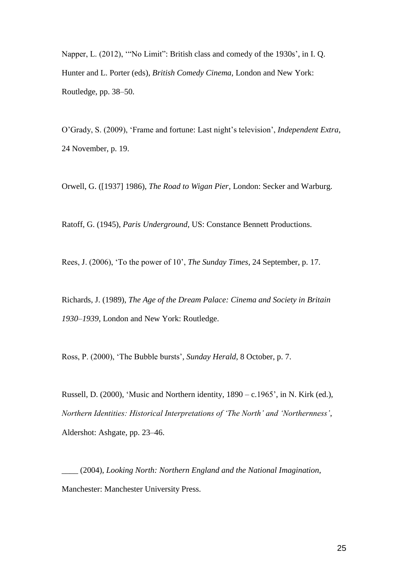Napper, L. (2012), '"No Limit": British class and comedy of the 1930s', in I. Q. Hunter and L. Porter (eds), *British Comedy Cinema*, London and New York: Routledge, pp. 38–50.

O'Grady, S. (2009), 'Frame and fortune: Last night's television', *Independent Extra*, 24 November, p. 19.

Orwell, G. ([1937] 1986), *The Road to Wigan Pier*, London: Secker and Warburg.

Ratoff, G. (1945), *Paris Underground*, US: Constance Bennett Productions.

Rees, J. (2006), 'To the power of 10', *The Sunday Times*, 24 September, p. 17.

Richards, J. (1989), *The Age of the Dream Palace: Cinema and Society in Britain 1930–1939*, London and New York: Routledge.

Ross, P. (2000), 'The Bubble bursts', *Sunday Herald*, 8 October, p. 7.

Russell, D. (2000), 'Music and Northern identity, 1890 – c.1965', in N. Kirk (ed.), *Northern Identities: Historical Interpretations of 'The North' and 'Northernness'*, Aldershot: Ashgate, pp. 23–46.

\_\_\_\_ (2004), *Looking North: Northern England and the National Imagination*, Manchester: Manchester University Press.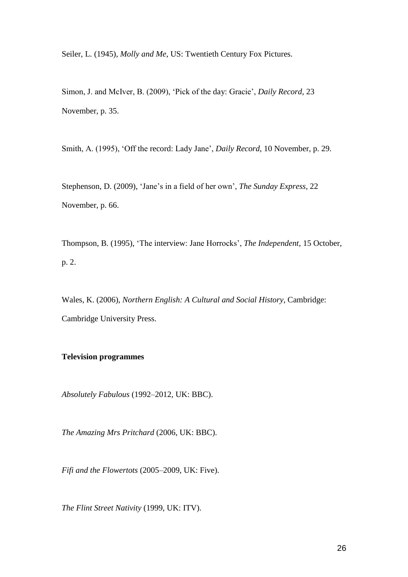Seiler, L. (1945), *Molly and Me*, US: Twentieth Century Fox Pictures.

Simon, J. and McIver, B. (2009), 'Pick of the day: Gracie', *Daily Record*, 23 November, p. 35.

Smith, A. (1995), 'Off the record: Lady Jane', *Daily Record*, 10 November, p. 29.

Stephenson, D. (2009), 'Jane's in a field of her own', *The Sunday Express*, 22 November, p. 66.

Thompson, B. (1995), 'The interview: Jane Horrocks', *The Independent*, 15 October, p. 2.

Wales, K. (2006), *Northern English: A Cultural and Social History*, Cambridge: Cambridge University Press.

# **Television programmes**

*Absolutely Fabulous* (1992–2012, UK: BBC).

*The Amazing Mrs Pritchard* (2006, UK: BBC).

*Fifi and the Flowertots* (2005–2009, UK: Five).

*The Flint Street Nativity* (1999, UK: ITV).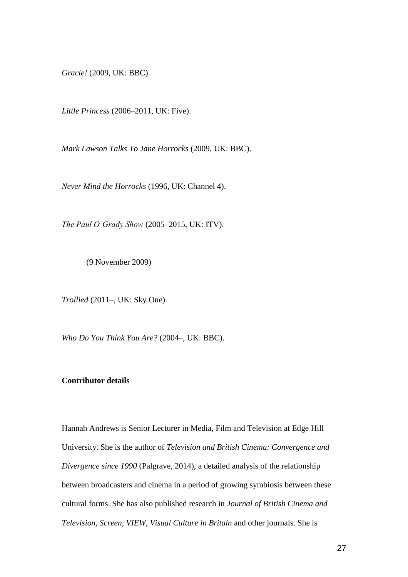*Gracie!* (2009, UK: BBC).

*Little Princess* (2006–2011, UK: Five).

*Mark Lawson Talks To Jane Horrocks* (2009, UK: BBC).

*Never Mind the Horrocks* (1996, UK: Channel 4).

*The Paul O'Grady Show* (2005–2015, UK: ITV).

(9 November 2009)

*Trollied* (2011–, UK: Sky One).

*Who Do You Think You Are?* (2004–, UK: BBC).

# **Contributor details**

Hannah Andrews is Senior Lecturer in Media, Film and Television at Edge Hill University. She is the author of *Television and British Cinema: Convergence and Divergence since 1990* (Palgrave, 2014), a detailed analysis of the relationship between broadcasters and cinema in a period of growing symbiosis between these cultural forms. She has also published research in *Journal of British Cinema and Television*, *Screen*, *VIEW*, *Visual Culture in Britain* and other journals. She is